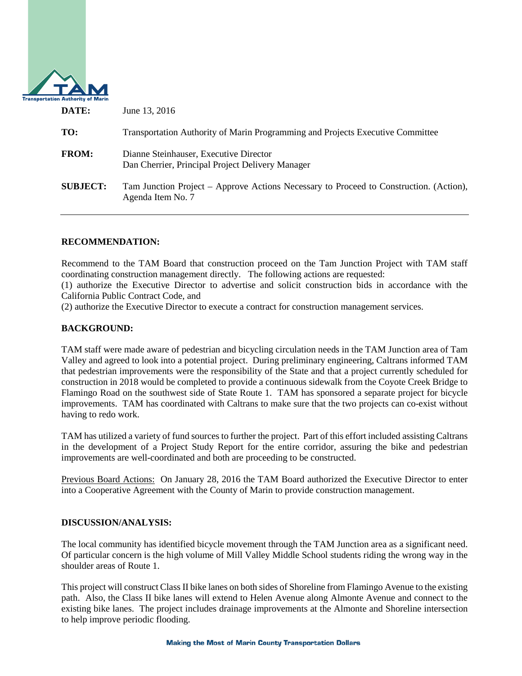

| DATE:           | June 13, 2016                                                                                               |
|-----------------|-------------------------------------------------------------------------------------------------------------|
| TO:             | Transportation Authority of Marin Programming and Projects Executive Committee                              |
| <b>FROM:</b>    | Dianne Steinhauser, Executive Director<br>Dan Cherrier, Principal Project Delivery Manager                  |
| <b>SUBJECT:</b> | Tam Junction Project – Approve Actions Necessary to Proceed to Construction. (Action),<br>Agenda Item No. 7 |

## **RECOMMENDATION:**

Recommend to the TAM Board that construction proceed on the Tam Junction Project with TAM staff coordinating construction management directly. The following actions are requested:

(1) authorize the Executive Director to advertise and solicit construction bids in accordance with the California Public Contract Code, and

(2) authorize the Executive Director to execute a contract for construction management services.

# **BACKGROUND:**

TAM staff were made aware of pedestrian and bicycling circulation needs in the TAM Junction area of Tam Valley and agreed to look into a potential project. During preliminary engineering, Caltrans informed TAM that pedestrian improvements were the responsibility of the State and that a project currently scheduled for construction in 2018 would be completed to provide a continuous sidewalk from the Coyote Creek Bridge to Flamingo Road on the southwest side of State Route 1. TAM has sponsored a separate project for bicycle improvements. TAM has coordinated with Caltrans to make sure that the two projects can co-exist without having to redo work.

TAM has utilized a variety of fund sources to further the project. Part of this effort included assisting Caltrans in the development of a Project Study Report for the entire corridor, assuring the bike and pedestrian improvements are well-coordinated and both are proceeding to be constructed.

Previous Board Actions: On January 28, 2016 the TAM Board authorized the Executive Director to enter into a Cooperative Agreement with the County of Marin to provide construction management.

### **DISCUSSION/ANALYSIS:**

The local community has identified bicycle movement through the TAM Junction area as a significant need. Of particular concern is the high volume of Mill Valley Middle School students riding the wrong way in the shoulder areas of Route 1.

This project will construct Class II bike lanes on both sides of Shoreline from Flamingo Avenue to the existing path. Also, the Class II bike lanes will extend to Helen Avenue along Almonte Avenue and connect to the existing bike lanes. The project includes drainage improvements at the Almonte and Shoreline intersection to help improve periodic flooding.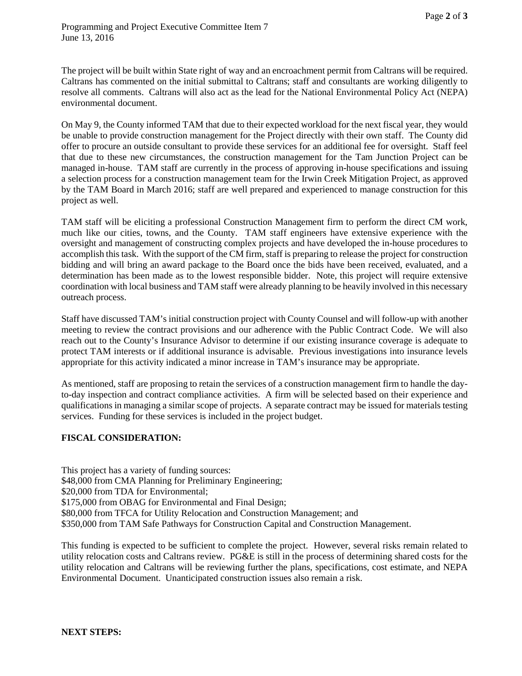The project will be built within State right of way and an encroachment permit from Caltrans will be required. Caltrans has commented on the initial submittal to Caltrans; staff and consultants are working diligently to resolve all comments. Caltrans will also act as the lead for the National Environmental Policy Act (NEPA) environmental document.

On May 9, the County informed TAM that due to their expected workload for the next fiscal year, they would be unable to provide construction management for the Project directly with their own staff. The County did offer to procure an outside consultant to provide these services for an additional fee for oversight. Staff feel that due to these new circumstances, the construction management for the Tam Junction Project can be managed in-house. TAM staff are currently in the process of approving in-house specifications and issuing a selection process for a construction management team for the Irwin Creek Mitigation Project, as approved by the TAM Board in March 2016; staff are well prepared and experienced to manage construction for this project as well.

TAM staff will be eliciting a professional Construction Management firm to perform the direct CM work, much like our cities, towns, and the County. TAM staff engineers have extensive experience with the oversight and management of constructing complex projects and have developed the in-house procedures to accomplish this task. With the support of the CM firm, staff is preparing to release the project for construction bidding and will bring an award package to the Board once the bids have been received, evaluated, and a determination has been made as to the lowest responsible bidder. Note, this project will require extensive coordination with local business and TAM staff were already planning to be heavily involved in this necessary outreach process.

Staff have discussed TAM's initial construction project with County Counsel and will follow-up with another meeting to review the contract provisions and our adherence with the Public Contract Code. We will also reach out to the County's Insurance Advisor to determine if our existing insurance coverage is adequate to protect TAM interests or if additional insurance is advisable. Previous investigations into insurance levels appropriate for this activity indicated a minor increase in TAM's insurance may be appropriate.

As mentioned, staff are proposing to retain the services of a construction management firm to handle the dayto-day inspection and contract compliance activities. A firm will be selected based on their experience and qualifications in managing a similar scope of projects. A separate contract may be issued for materials testing services. Funding for these services is included in the project budget.

## **FISCAL CONSIDERATION:**

This project has a variety of funding sources: \$48,000 from CMA Planning for Preliminary Engineering; \$20,000 from TDA for Environmental; \$175,000 from OBAG for Environmental and Final Design; \$80,000 from TFCA for Utility Relocation and Construction Management; and \$350,000 from TAM Safe Pathways for Construction Capital and Construction Management.

This funding is expected to be sufficient to complete the project. However, several risks remain related to utility relocation costs and Caltrans review. PG&E is still in the process of determining shared costs for the utility relocation and Caltrans will be reviewing further the plans, specifications, cost estimate, and NEPA Environmental Document. Unanticipated construction issues also remain a risk.